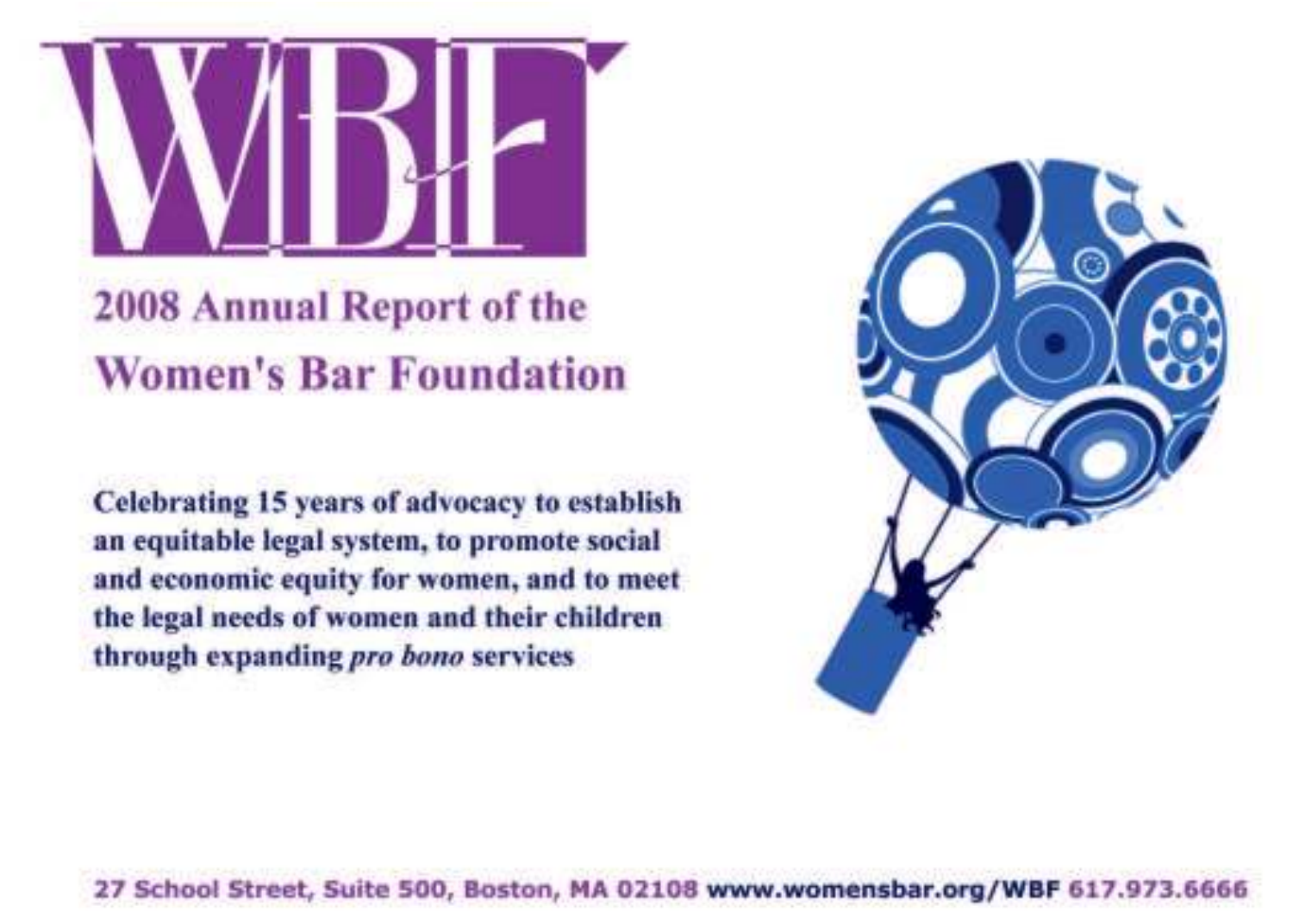

Celebrating 15 years of advocacy to establish an equitable legal system, to promote social and economic equity for women, and to meet the legal needs of women and their children through expanding pro bono services



27 School Street, Suite 500, Boston, MA 02108 www.womensbar.org/WBF 617.973.6666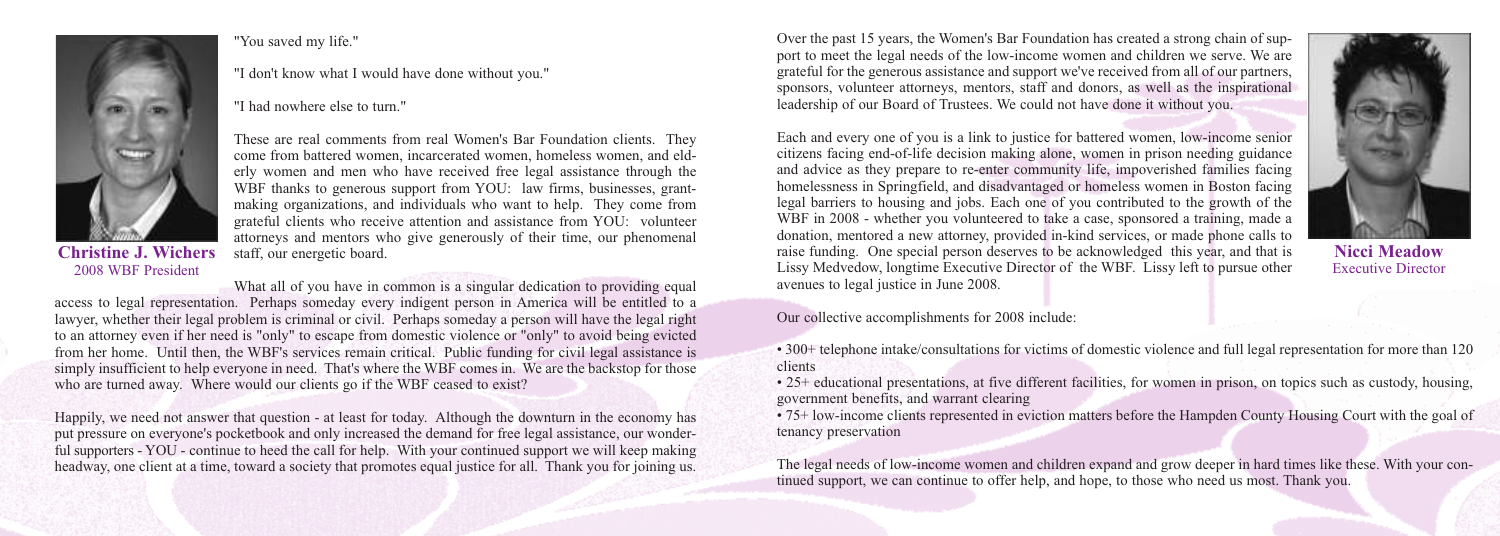

### "You saved my life."

### "I don't know what I would have done without you."

"I had nowhere else to turn."



**Christine J. Wichers** 2008 WBF President

What all of you have in common is a singular dedication to providing equal access to legal representation. Perhaps someday every indigent person in America will be entitled to a lawyer, whether their legal problem is criminal or civil. Perhaps someday a person will have the legal right to an attorney even if her need is "only" to escape from domestic violence or "only" to avoid being evicted from her home. Until then, the WBF's services remain critical. Public funding for civil legal assistance is simply insufficient to help everyone in need. That's where the WBF comes in. We are the backstop for those who are turned away. Where would our clients go if the WBF ceased to exist?

Happily, we need not answer that question - at least for today. Although the downturn in the economy has put pressure on everyone's pocketbook and only increased the demand for free legal assistance, our wonderful supporters - YOU - continue to heed the call for help. With your continued support we will keep making headway, one client at a time, toward a society that promotes equal justice for all. Thank you for joining us.

Over the past 15 years, the Women's Bar Foundation has created a strong chain of support to meet the legal needs of the low-income women and children we serve. We are grateful for the generous assistance and support we've received from all of our partners, sponsors, volunteer attorneys, mentors, staff and donors, as well as the inspirational leadership of our Board of Trustees. We could not have done it without you.

Each and every one of you is a link to justice for battered women, low-income senior citizens facing end-of-life decision making alone, women in prison needing guidance and advice as they prepare to re-enter community life, impoverished families facing homelessness in Springfield, and disadvantaged or homeless women in Boston facing legal barriers to housing and jobs. Each one of you contributed to the growth of the WBF in 2008 - whether you volunteered to take a case, sponsored a training, made a donation, mentored a new attorney, provided in-kind services, or made phone calls to raise funding. One special person deserves to be acknowledged this year, and that is Lissy Medvedow, longtime Executive Director of the WBF. Lissy left to pursue other avenues to legal justice in June 2008.



**Nicci Meadow** Executive Director

Our collective accomplishments for 2008 include:

• 300+ telephone intake/consultations for victims of domestic violence and full legal representation for more than 120 clients

• 25+ educational presentations, at five different facilities, for women in prison, on topics such as custody, housing, government benefits, and warrant clearing

• 75+ low-income clients represented in eviction matters before the Hampden County Housing Court with the goal of tenancy preservation

The legal needs of low-income women and children expand and grow deeper in hard times like these. With your continued support, we can continue to offer help, and hope, to those who need us most. Thank you.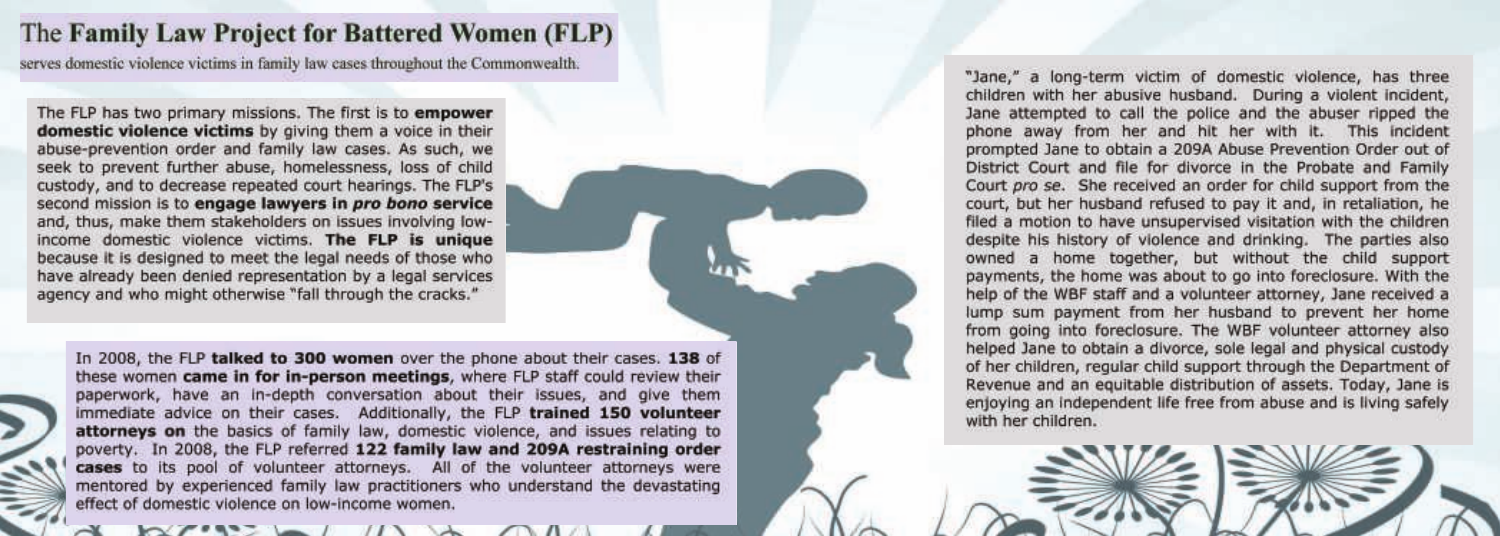# The Family Law Project for Battered Women (FLP)

serves domestic violence victims in family law cases throughout the Commonwealth.

The FLP has two primary missions. The first is to empower domestic violence victims by giving them a voice in their abuse-prevention order and family law cases. As such, we seek to prevent further abuse, homelessness, loss of child custody, and to decrease repeated court hearings. The FLP's second mission is to engage lawyers in pro bono service and, thus, make them stakeholders on issues involving lowincome domestic violence victims. The FLP is unique because it is designed to meet the legal needs of those who have already been denied representation by a legal services agency and who might otherwise "fall through the cracks."

In 2008, the FLP talked to 300 women over the phone about their cases. 138 of these women came in for in-person meetings, where FLP staff could review their paperwork, have an in-depth conversation about their issues, and give them immediate advice on their cases. Additionally, the FLP trained 150 volunteer attorneys on the basics of family law, domestic violence, and issues relating to poverty. In 2008, the FLP referred 122 family law and 209A restraining order cases to its pool of volunteer attorneys. All of the volunteer attorneys were mentored by experienced family law practitioners who understand the devastating effect of domestic violence on low-income women.

"Jane," a long-term victim of domestic violence, has three children with her abusive husband. During a violent incident, Jane attempted to call the police and the abuser ripped the phone away from her and hit her with it. This incident prompted Jane to obtain a 209A Abuse Prevention Order out of District Court and file for divorce in the Probate and Family Court pro se. She received an order for child support from the court, but her husband refused to pay it and, in retaliation, he filed a motion to have unsupervised visitation with the children despite his history of violence and drinking. The parties also owned a home together, but without the child support payments, the home was about to go into foreclosure. With the help of the WBF staff and a volunteer attorney, Jane received a lump sum payment from her husband to prevent her home from going into foreclosure. The WBF volunteer attorney also helped Jane to obtain a divorce, sole legal and physical custody of her children, regular child support through the Department of Revenue and an equitable distribution of assets. Today, Jane is enjoying an independent life free from abuse and is living safely with her children.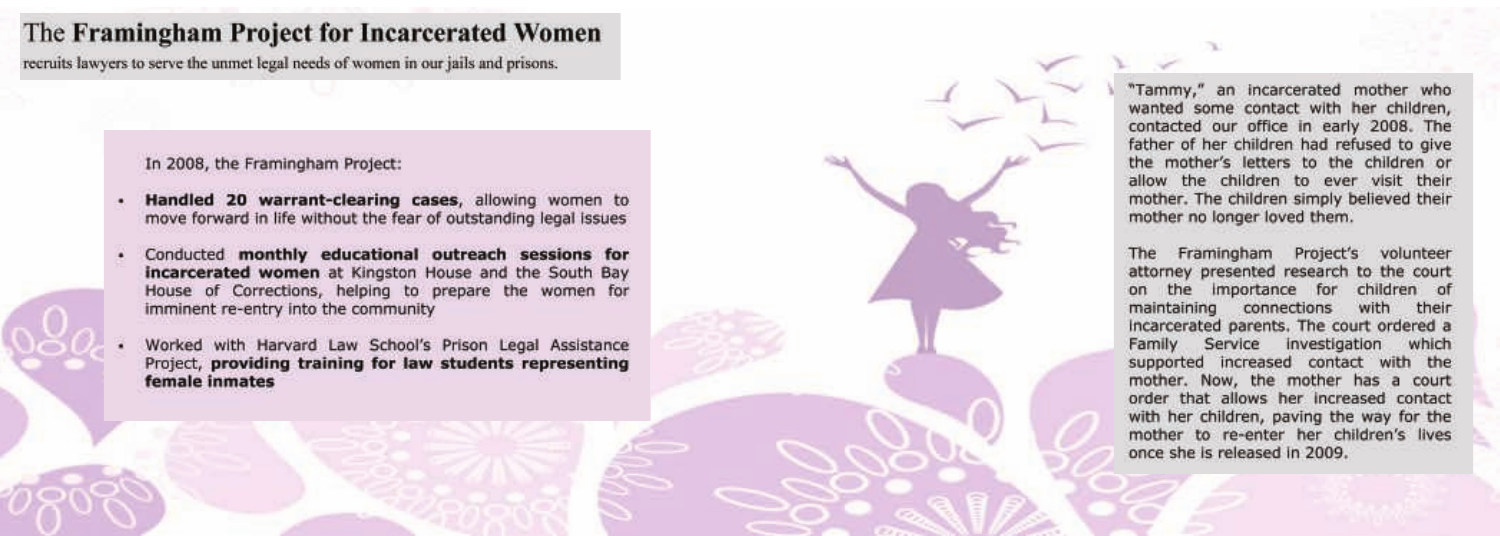# The Framingham Project for Incarcerated Women

recruits lawyers to serve the unmet legal needs of women in our jails and prisons.

### In 2008, the Framingham Project:

- Handled 20 warrant-clearing cases, allowing women to move forward in life without the fear of outstanding legal issues
- Conducted monthly educational outreach sessions for incarcerated women at Kingston House and the South Bay House of Corrections, helping to prepare the women for imminent re-entry into the community
- Worked with Harvard Law School's Prison Legal Assistance Project, providing training for law students representing female inmates



"Tammy," an incarcerated mother who wanted some contact with her children, contacted our office in early 2008. The father of her children had refused to give the mother's letters to the children or allow the children to ever visit their mother. The children simply believed their mother no longer loved them.

Framingham Project's volunteer attorney presented research to the court the importance for children of maintaining connections with their incarcerated parents. The court ordered a Family Service investigation which supported increased contact with the mother. Now, the mother has a court order that allows her increased contact with her children, paving the way for the mother to re-enter her children's lives once she is released in 2009.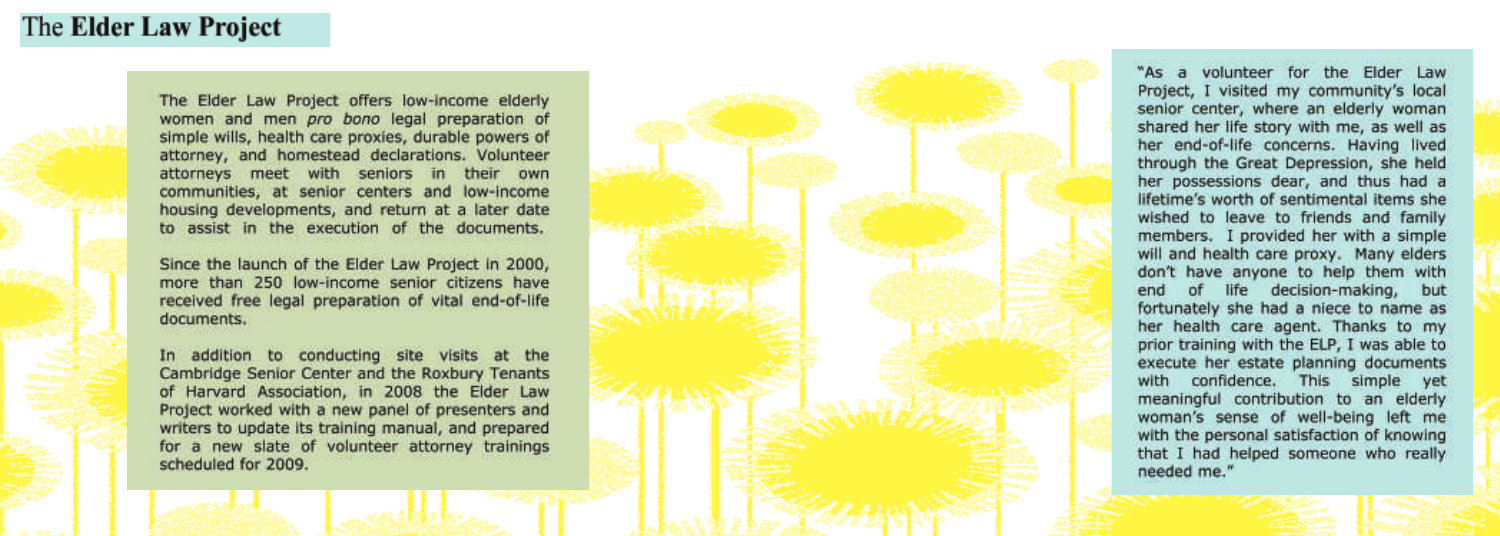### The **Elder Law Project**

The Elder Law Project offers low-income elderly women and men pro bono legal preparation of simple wills, health care proxies, durable powers of attorney, and homestead declarations. Volunteer attorneys meet with seniors in their own communities, at senior centers and low-income housing developments, and return at a later date to assist in the execution of the documents.

Since the launch of the Elder Law Project in 2000, more than 250 low-income senior citizens have received free legal preparation of vital end-of-life documents.

In addition to conducting site visits at the Cambridge Senior Center and the Roxbury Tenants of Harvard Association, in 2008 the Elder Law Project worked with a new panel of presenters and writers to update its training manual, and prepared for a new slate of volunteer attorney trainings scheduled for 2009.

"As a volunteer for the Elder Law Project, I visited my community's local senior center, where an elderly woman shared her life story with me, as well as her end-of-life concerns. Having lived through the Great Depression, she held her possessions dear, and thus had a lifetime's worth of sentimental items she wished to leave to friends and family members. I provided her with a simple will and health care proxy. Many elders don't have anyone to help them with end of life decision-making, but fortunately she had a niece to name as her health care agent. Thanks to my prior training with the ELP, I was able to execute her estate planning documents with confidence. This simple yet meaningful contribution to an elderly woman's sense of well-being left me with the personal satisfaction of knowing that I had helped someone who really needed me."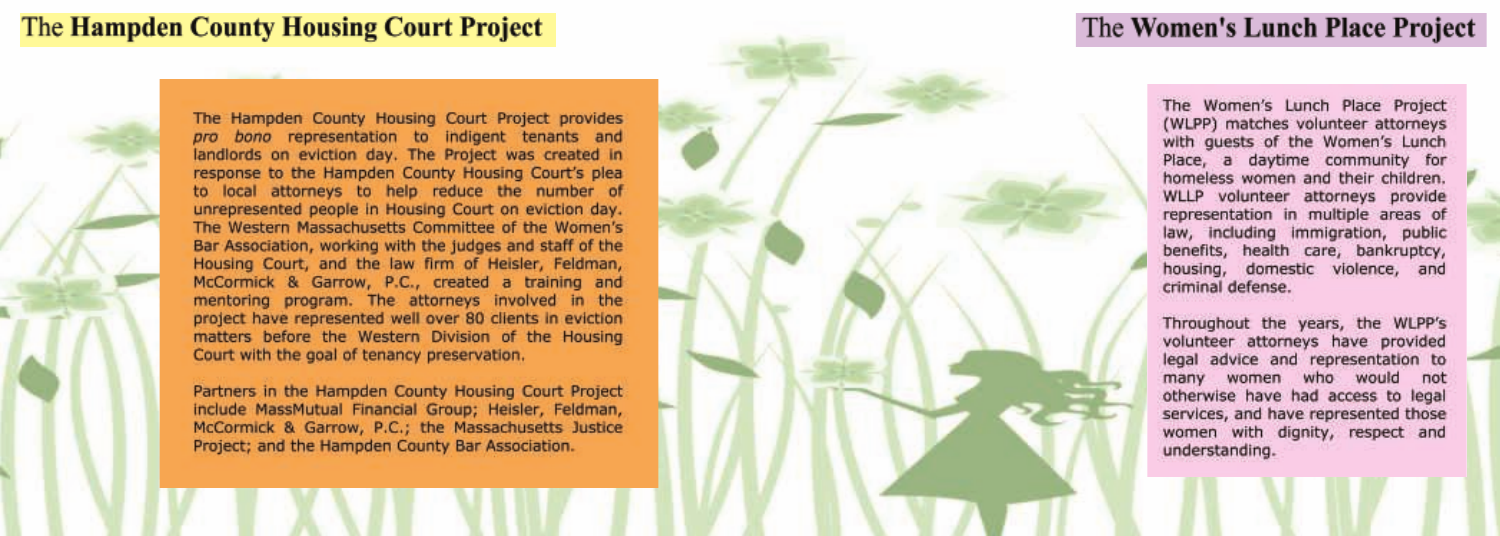# The Hampden County Housing Court Project

The Hampden County Housing Court Project provides pro bono representation to indigent tenants and landlords on eviction day. The Project was created in response to the Hampden County Housing Court's plea to local attorneys to help reduce the number of unrepresented people in Housing Court on eviction day. The Western Massachusetts Committee of the Women's Bar Association, working with the judges and staff of the Housing Court, and the law firm of Heisler, Feldman, McCormick & Garrow, P.C., created a training and mentoring program. The attorneys involved in the project have represented well over 80 clients in eviction matters before the Western Division of the Housing Court with the goal of tenancy preservation.

Partners in the Hampden County Housing Court Project include MassMutual Financial Group; Heisler, Feldman, McCormick & Garrow, P.C.; the Massachusetts Justice Project; and the Hampden County Bar Association.

### The Women's Lunch Place Project

The Women's Lunch Place Project (WLPP) matches volunteer attorneys with quests of the Women's Lunch Place, a daytime community for homeless women and their children. WLLP volunteer attorneys provide representation in multiple areas of law, including immigration, public benefits, health care, bankruptcy, housing, domestic violence, and criminal defense.

Throughout the years, the WLPP's volunteer attorneys have provided legal advice and representation to many women who would not otherwise have had access to legal services, and have represented those women with dignity, respect and understanding.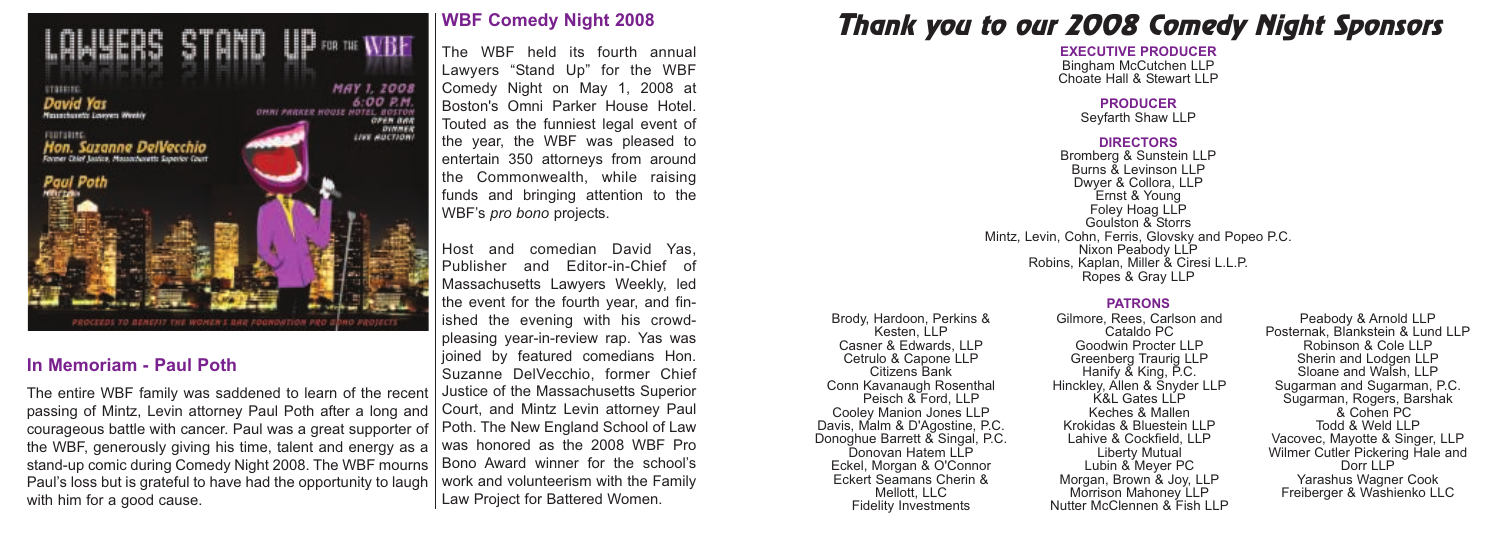

### **In Memoriam - Paul Poth**

The entire WBF family was saddened to learn of the recent passing of Mintz, Levin attorney Paul Poth after a long and courageous battle with cancer. Paul was a great supporter of Poth. The New England School of Law the WBF, generously giving his time, talent and energy as a stand-up comic during Comedy Night 2008. The WBF mourns | Bono Award winner for the school's Paul's loss but is grateful to have had the opportunity to laugh with him for a good cause.

### **WBF Comedy Night 2008**

The WBF held its fourth annual Lawyers "Stand Up" for the WBF Comedy Night on May 1, 2008 at Boston's Omni Parker House Hotel. Touted as the funniest legal event of the year, the WBF was pleased to entertain 350 attorneys from around the Commonwealth, while raising funds and bringing attention to the WBF's *pro bono* projects.

Host and comedian David Yas, Publisher and Editor-in-Chief of Massachusetts Lawyers Weekly, led the event for the fourth year, and finished the evening with his crowdpleasing year-in-review rap. Yas was joined by featured comedians Hon. Suzanne DelVecchio, former Chief Justice of the Massachusetts Superior Court, and Mintz Levin attorney Paul was honored as the 2008 WBF Pro work and volunteerism with the Family Law Project for Battered Women.

# *Thank you to our 2008 Comedy Night Sponsors*

**EXECUTIVE PRODUCER** Bingham McCutchen LLP Choate Hall & Stewart LLP

#### **PRODUCER** Seyfarth Shaw LLP

#### **DIRECTORS**

Bromberg & Sunstein LLP Burns & Levinson LLP Dwyer & Collora, LLP Ernst & Young Foley Hoag LLP Goulston & Storrs Mintz, Levin, Cohn, Ferris, Glovsky and Popeo P.C. Nixon Peabody LLP Robins, Kaplan, Miller & Ciresi L.L.P. Ropes & Gray LLP

#### **PATRONS**

Brody, Hardoon, Perkins & Kesten, LLP Casner & Edwards, LLP Cetrulo & Capone LLP Citizens Bank Conn Kavanaugh Rosenthal Peisch & Ford, LLP Cooley Manion Jones LLP Davis, Malm & D'Agostine, P.C. Donoghue Barrett & Singal, P.C. Donovan Hatem LLP Eckel, Morgan & O'Connor Eckert Seamans Cherin & Mellott, LLC Fidelity Investments

Gilmore, Rees, Carlson and Cataldo PC Goodwin Procter LLP Greenberg Traurig LLP Hanify & King, P.C. Hinckley, Allen & Snyder LLP K&L Gates LLP Keches & Mallen Krokidas & Bluestein LLP Lahive & Cockfield, LLP Liberty Mutual Lubin & Meyer PC Morgan, Brown & Joy, LLP Morrison Mahoney LLP Nutter McClennen & Fish LLP

Peabody & Arnold LLP Posternak, Blankstein & Lund LLP Robinson & Cole LLP Sherin and Lodgen LLP Sloane and Walsh, LLP Sugarman and Sugarman, P.C. Sugarman, Rogers, Barshak & Cohen PC Todd & Weld LLP Vacovec, Mayotte & Singer, LLP Wilmer Cutler Pickering Hale and Dorr LLP Yarashus Wagner Cook Freiberger & Washienko LLC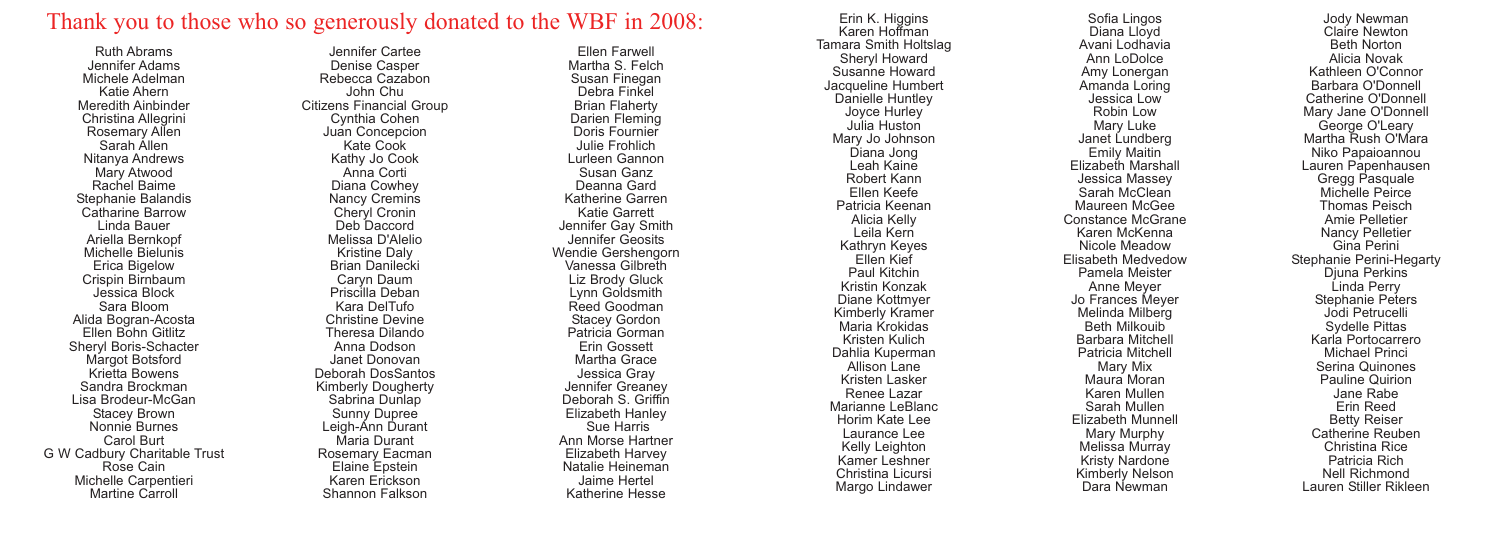### Thank you to those who so generously donated to the WBF in 2008:

Ruth Abrams Jennifer Adams Michele Adelman Katie Ahern Meredith Ainbinder Christina Allegrini Rosemary Allen Sarah Allen Nitanya Andrews Mary Atwood Rachel Baime Stephanie Balandis Catharine Barrow Linda Bauer Ariella Bernkopf Michelle Bielunis Erica Bigelow Crispin Birnbaum Jessica Block Sara Bloom Alida Bogran-Acosta Ellen Bohn Gitlitz Sheryl Boris-Schacter Margot Botsford Krietta Bowens Sandra Brockman Lisa Brodeur-McGan Stacey Brown Nonnie Burnes Carol Burt G W Cadbury Charitable Trust Rose Cain Michelle Carpentieri Martine Carroll

Jennifer Cartee Denise Casper Rebecca Cazabon John Chu Citizens Financial Group Cynthia Cohen Juan Concepcion Kate Cook Kathy Jo Cook Anna Corti Diana Cowhey Nancy Cremins Cheryl Cronin Deb Daccord Melissa D'Alelio Kristine Daly Brian Danilecki Caryn Daum Priscilla Deban Kara DelTufo Christine Devine Theresa Dilando Anna Dodson Janet Donovan Deborah DosSantos Kimberly Dougherty Sabrina Dunlap Sunny Dupree Leigh-Ann Durant Maria Durant Rosemary Eacman Elaine Epstein Karen Erickson Shannon Falkson

Ellen Farwell Martha S. Felch Susan Finegan Debra Finkel Brian Flaherty Darien Fleming Doris Fournier Julie Frohlich Lurleen Gannon Susan Ganz Deanna Gard Katherine Garren Katie Garrett Jennifer Gay Smith Jennifer Geosits Wendie Gershengorn Vanessa Gilbreth Liz Brody Gluck Lynn Goldsmith Reed Goodman Stacey Gordon Patricia Gorman Erin Gossett Martha Grace Jessica Gray Jennifer Greaney Deborah S. Griffin Elizabeth Hanley Sue Harris Ann Morse Hartner Elizabeth Harvey Natalie Heineman Jaime Hertel Katherine Hesse

Erin K. Higgins Karen Hoffman Tamara Smith Holtslag Sheryl Howard Susanne Howard Jacqueline Humbert Danielle Huntley Joyce Hurley Julia Huston Mary Jo Johnson Diana Jong Leah Kaine Robert Kann Ellen Keefe Patricia Keenan Alicia Kelly Leila Kern Kathryn Keyes Ellen Kief Paul Kitchin Kristin Konzak Diane Kottmyer Kimberly Kramer Maria Krokidas Kristen Kulich Dahlia Kuperman Allison Lane Kristen Lasker Renee Lazar Marianne LeBlanc Horim Kate Lee Laurance Lee Kelly Leighton Kamer Leshner Christina Licursi Margo Lindawer

Sofia Lingos Diana Lloyd Avani Lodhavia Ann LoDolce Amy Lonergan Amanda Loring Jessica Low Robin Low Mary Luke Janet Lundberg Emily Maitin Elizabeth Marshall Jessica Massey Sarah McClean Maureen McGee Constance McGrane Karen McKenna Nicole Meadow Elisabeth Medvedow Pamela Meister Anne Meyer Jo Frances Meyer Melinda Milberg Beth Milkouib Barbara Mitchell Patricia Mitchell Mary Mix Maura Moran Karen Mullen Sarah Mullen Elizabeth Munnell Mary Murphy Melissa Murray Kristy Nardone Kimberly Nelson Dara Newman

Jody Newman Claire Newton Beth Norton Alicia Novak Kathleen O'Connor Barbara O'Donnell Catherine O'Donnell Mary Jane O'Donnell George O'Leary Martha Rush O'Mara Niko Papaioannou Lauren Papenhausen Gregg Pasquale Michelle Peirce Thomas Peisch Amie Pelletier Nancy Pelletier Gina Perini Stephanie Perini-Hegarty Djuna Perkins Linda Perry Stephanie Peters Jodi Petrucelli Sydelle Pittas Karla Portocarrero Michael Princi Serina Quinones Pauline Quirion Jane Rabe Erin Reed Betty Reiser Catherine Reuben Christina Rice Patricia Rich Nell Richmond Lauren Stiller Rikleen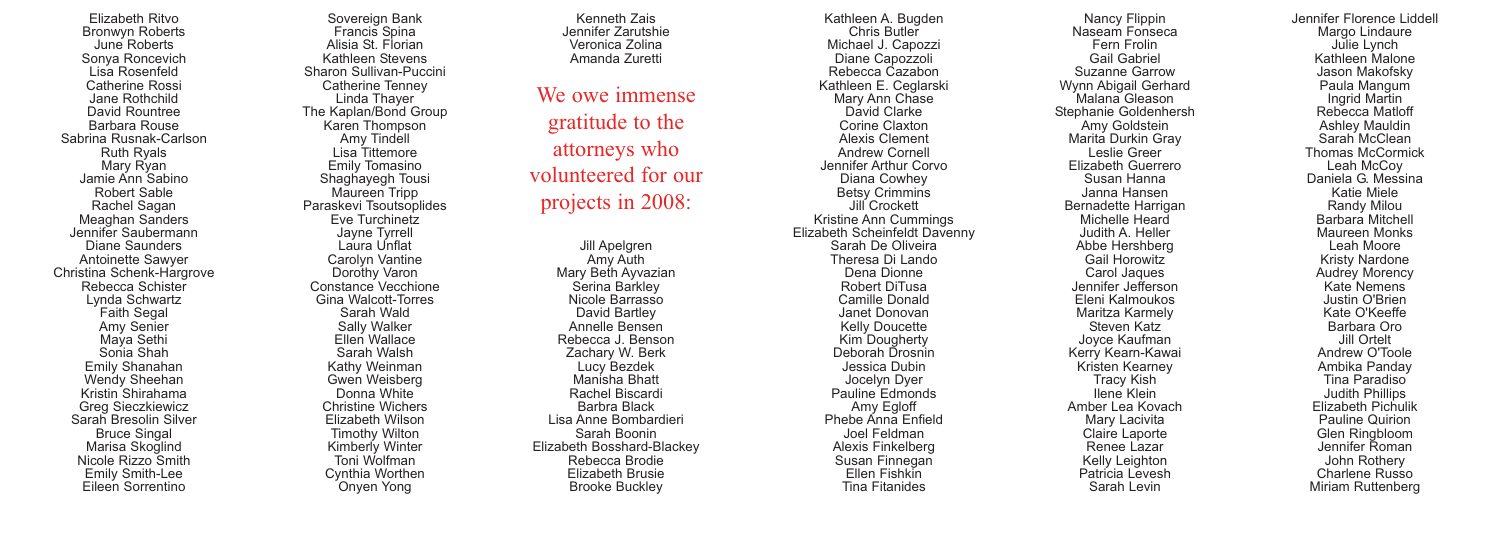Elizabeth Ritvo Bronwyn Roberts June Roberts Sonya Roncevich Lisa Rosenfeld Catherine Rossi Jane Rothchild David Rountree Barbara Rouse Sabrina Rusnak-Carlson Ruth Ryals Mary Ryan Jamie Ann Sabino Robert Sable Rachel Sagan Meaghan Sanders Jennifer Saubermann Diane Saunders Antoinette Sawyer Christina Schenk-Hargrove Rebecca Schister Lynda Schwartz Faith Segal Amy Senier Maya Sethi Sonia Shah Emily Shanahan Wendy Sheehan Kristin Shirahama Greg Sieczkiewicz Sarah Bresolin Silver Bruce Singal Marisa Skoglind Nicole Rizzo Smith Emily Smith-Lee Eileen Sorrentino

Sovereign Bank Francis Spina Alisia St. Florian Kathleen Stevens Sharon Sullivan-Puccini Catherine Tenney Linda Thayer The Kaplan/Bond Group Karen Thompson Amy Tindell Lisa Tittemore Emily Tomasino Shaghayegh Tousi Maureen Tripp Paraskevi Tsoutsoplides Eve Turchinetz Jayne Tyrrell Laura Unflat Carolyn Vantine Dorothy Varon Constance Vecchione Gina Walcott-Torres Sarah Wald Sally Walker Ellen Wallace Sarah Walsh Kathy Weinman Gwen Weisberg Donna White Christine Wichers Elizabeth Wilson Timothy Wilton Kimberly Winter Toni Wolfman Cynthia Worthen Onyen Yong

Kenneth Zais Jennifer Zarutshie Veronica Zolina Amanda Zuretti

We owe immense gratitude to the attorneys who volunteered for our projects in 2008:

Jill Apelgren Amy Auth Mary Beth Ayvazian Serina Barkley Nicole Barrasso David Bartley Annelle Bensen Rebecca J. Benson Zachary W. Berk Lucy Bezdek Manisha Bhatt Rachel Biscardi Barbra Black Lisa Anne Bombardieri Sarah Boonin Elizabeth Bosshard-Blackey Rebecca Brodie Elizabeth Brusie Brooke Buckley

Kathleen A. Bugden Chris Butler Michael J. Capozzi Diane Capozzoli Rebecca Cazabon Kathleen E. Ceglarski Mary Ann Chase David Clarke Corine Claxton Alexis Clement Andrew Cornell Jennifer Arthur Corvo Diana Cowhey Betsy Crimmins Jill Crockett Kristine Ann Cummings Elizabeth Scheinfeldt Davenny Sarah De Oliveira Theresa Di Lando Dena Dionne Robert DiTusa Camille Donald Janet Donovan Kelly Doucette Kim Dougherty Deborah Drosnin Jessica Dubin Jocelyn Dyer Pauline Edmonds Amy Egloff Phebe Anna Enfield Joel Feldman Alexis Finkelberg Susan Finnegan Ellen Fishkin Tina Fitanides

Nancy Flippin Naseam Fonseca Fern Frolin Gail Gabriel Suzanne Garrow Wynn Abigail Gerhard Malana Gleason Stephanie Goldenhersh Amy Goldstein Marita Durkin Gray Leslie Greer Elizabeth Guerrero Susan Hanna Janna Hansen Bernadette Harrigan Michelle Heard Judith A. Heller Abbe Hershberg Gail Horowitz Carol Jaques Jennifer Jefferson Eleni Kalmoukos Maritza Karmely Steven Katz Joyce Kaufman Kerry Kearn-Kawai Kristen Kearney Tracy Kish Ilene Klein Amber Lea Kovach Mary Lacivita Claire Laporte Renee Lazar Kelly Leighton Patricia Levesh Sarah Levin

Jennifer Florence Liddell Margo Lindaure Julie Lynch Kathleen Malone Jason Makofsky Paula Mangum Ingrid Martin Rebecca Matloff Ashley Mauldin Sarah McClean Thomas McCormick Leah McCoy Daniela G. Messina Katie Miele Randy Milou Barbara Mitchell Maureen Monks Leah Moore Kristy Nardone Audrey Morency Kate Nemens Justin O'Brien Kate O'Keeffe Barbara Oro Jill Ortelt Andrew O'Toole Ambika Panday Tina Paradiso Judith Phillips Elizabeth Pichulik Pauline Quirion Glen Ringbloom Jennifer Roman John Rothery Charlene Russo Miriam Ruttenberg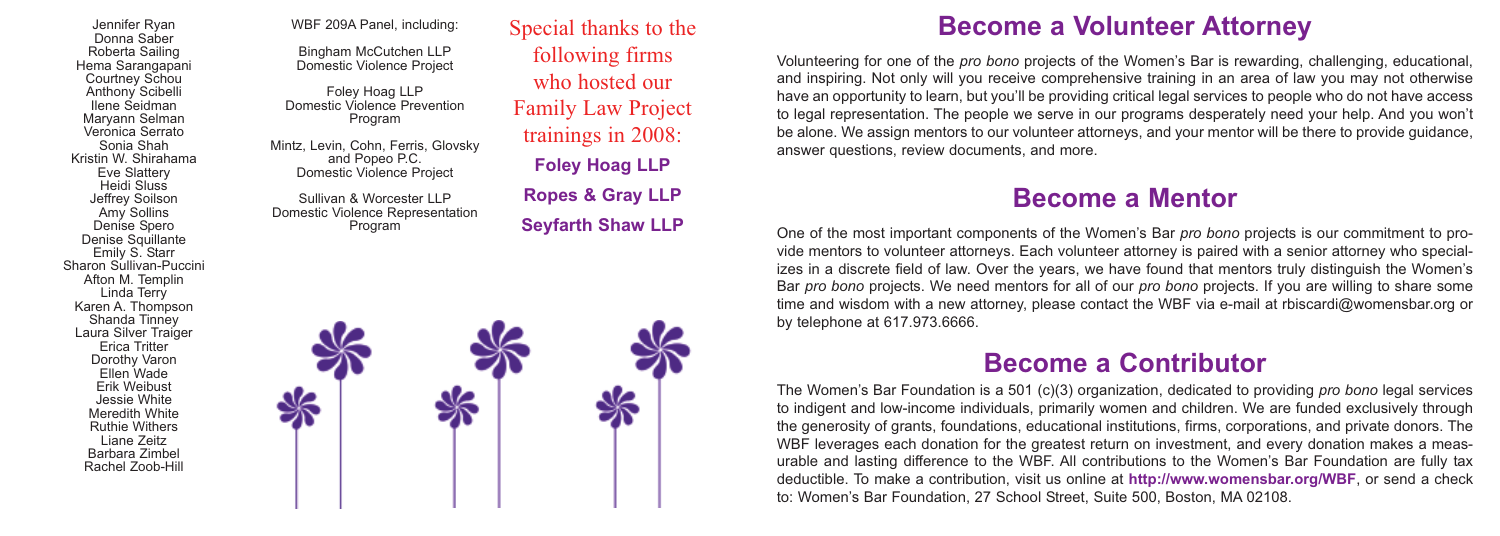Jennifer Ryan Donna Saber Roberta Sailing Hema Sarangapani Courtney Schou Anthony Scibelli Ilene Seidman Maryann Selman Veronica Serrato Sonia Shah Kristin W. Shirahama Eve Slattery Heidi Sluss Jeffrey Soilson Amy Sollins Denise Spero Denise Squillante Emily S. Starr Sharon Sullivan-Puccini Afton M. Templin Linda Terry Karen A. Thompson Shanda Tinney Laura Silver Traiger Erica Tritter Dorothy Varon Ellen Wade Erik Weibust Jessie White Meredith White Ruthie Withers Liane Zeitz Barbara Zimbel Rachel Zoob-Hill

WBF 209A Panel, including:

Bingham McCutchen LLP Domestic Violence Project

Foley Hoag LLP Domestic Violence Prevention Program

Mintz, Levin, Cohn, Ferris, Glovsky and Popeo P.C. Domestic Violence Project

Sullivan & Worcester LLP Domestic Violence Representation Program

Special thanks to the following firms who hosted our Family Law Project trainings in 2008: **Foley Hoag LLP Ropes & Gray LLP Seyfarth Shaw LLP**



### **Become a Volunteer Attorney**

Volunteering for one of the *pro bono* projects of the Women's Bar is rewarding, challenging, educational, and inspiring. Not only will you receive comprehensive training in an area of law you may not otherwise have an opportunity to learn, but you'll be providing critical legal services to people who do not have access to legal representation. The people we serve in our programs desperately need your help. And you won't be alone. We assign mentors to our volunteer attorneys, and your mentor will be there to provide guidance, answer questions, review documents, and more.

### **Become a Mentor**

One of the most important components of the Women's Bar *pro bono* projects is our commitment to provide mentors to volunteer attorneys. Each volunteer attorney is paired with a senior attorney who specializes in a discrete field of law. Over the years, we have found that mentors truly distinguish the Women's Bar *pro bono* projects. We need mentors for all of our *pro bono* projects. If you are willing to share some time and wisdom with a new attorney, please contact the WBF via e-mail at rbiscardi@womensbar.org or by telephone at 617.973.6666.

### **Become a Contributor**

The Women's Bar Foundation is a 501 (c)(3) organization, dedicated to providing *pro bono* legal services to indigent and low-income individuals, primarily women and children. We are funded exclusively through the generosity of grants, foundations, educational institutions, firms, corporations, and private donors. The WBF leverages each donation for the greatest return on investment, and every donation makes a measurable and lasting difference to the WBF. All contributions to the Women's Bar Foundation are fully tax deductible. To make a contribution, visit us online at **http://www.womensbar.org/WBF**, or send a check to: Women's Bar Foundation, 27 School Street, Suite 500, Boston, MA 02108.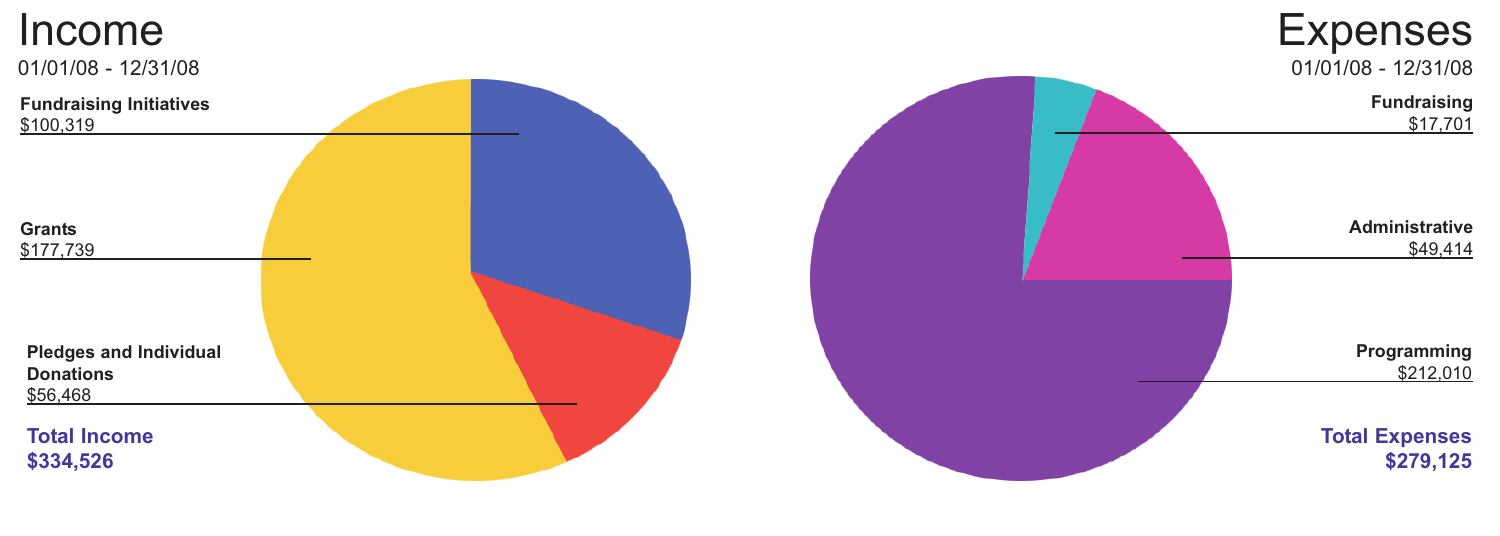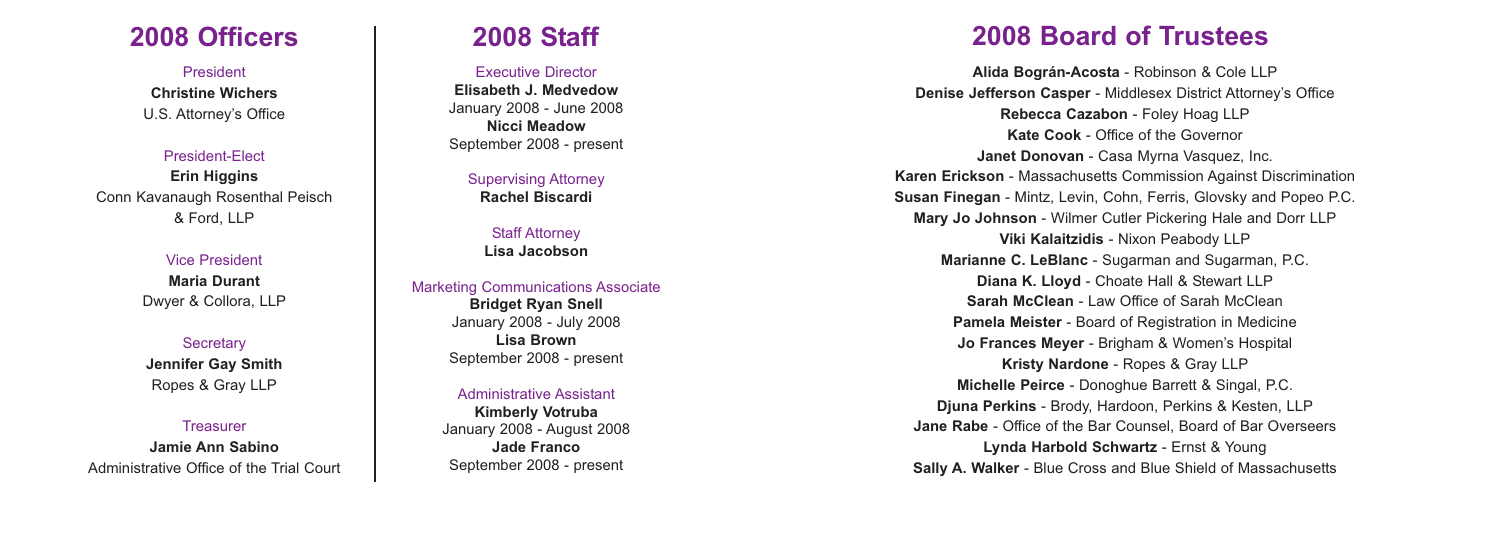## **2008 Officers 2008 Staff**

President **Christine Wichers** U.S. Attorney's Office

President-Elect

**Erin Higgins** Conn Kavanaugh Rosenthal Peisch & Ford, LLP

> Vice President **Maria Durant** Dwyer & Collora, LLP

**Secretary Jennifer Gay Smith** Ropes & Gray LLP

**Treasurer Jamie Ann Sabino** Administrative Office of the Trial Court

Executive Director **Elisabeth J. Medvedow** January 2008 - June 2008 **Nicci Meadow** September 2008 - present

> Supervising Attorney **Rachel Biscardi**

**Staff Attorney Lisa Jacobson**

### Marketing Communications Associate **Bridget Ryan Snell** January 2008 - July 2008 **Lisa Brown** September 2008 - present

Administrative Assistant **Kimberly Votruba** January 2008 - August 2008 **Jade Franco** September 2008 - present

# **2008 Board of Trustees**

**Alida Bográn-Acosta** - Robinson & Cole LLP **Denise Jefferson Casper** - Middlesex District Attorney's Office **Rebecca Cazabon** - Foley Hoag LLP **Kate Cook** - Office of the Governor **Janet Donovan** - Casa Myrna Vasquez, Inc. **Karen Erickson** - Massachusetts Commission Against Discrimination **Susan Finegan** - Mintz, Levin, Cohn, Ferris, Glovsky and Popeo P.C. **Mary Jo Johnson** - Wilmer Cutler Pickering Hale and Dorr LLP **Viki Kalaitzidis** - Nixon Peabody LLP **Marianne C. LeBlanc** - Sugarman and Sugarman, P.C. **Diana K. Lloyd** - Choate Hall & Stewart LLP **Sarah McClean** - Law Office of Sarah McClean **Pamela Meister** - Board of Registration in Medicine **Jo Frances Meyer** - Brigham & Women's Hospital **Kristy Nardone** - Ropes & Gray LLP **Michelle Peirce** - Donoghue Barrett & Singal, P.C. **Djuna Perkins** - Brody, Hardoon, Perkins & Kesten, LLP **Jane Rabe** - Office of the Bar Counsel, Board of Bar Overseers **Lynda Harbold Schwartz** - Ernst & Young **Sally A. Walker** - Blue Cross and Blue Shield of Massachusetts